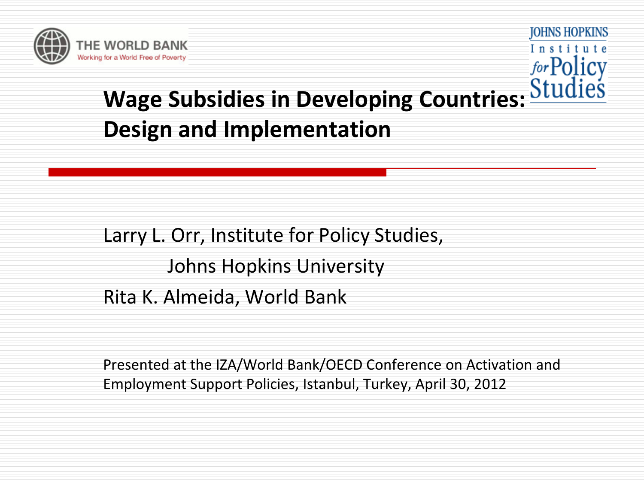

**JOHNS HOPKINS** Institute

# **Wage Subsidies in Developing Countries: Design and Implementation**

Larry L. Orr, Institute for Policy Studies, Johns Hopkins University Rita K. Almeida, World Bank

Presented at the IZA/World Bank/OECD Conference on Activation and Employment Support Policies, Istanbul, Turkey, April 30, 2012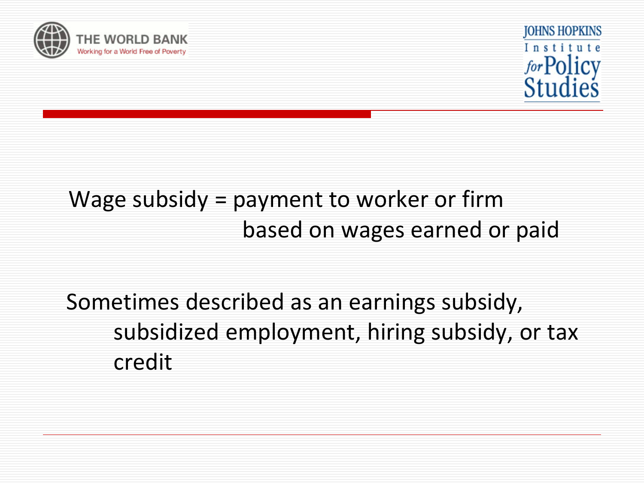



# Wage subsidy = payment to worker or firm based on wages earned or paid

 Sometimes described as an earnings subsidy, subsidized employment, hiring subsidy, or tax credit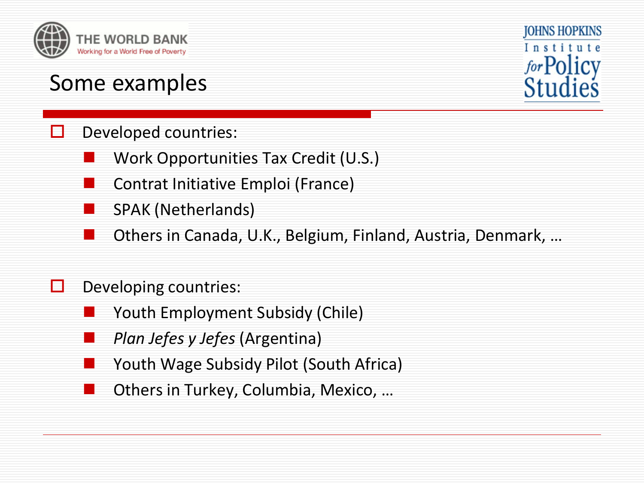

#### Some examples



#### $\Box$  Developed countries:

- Work Opportunities Tax Credit (U.S.)
- Contrat Initiative Emploi (France)
- SPAK (Netherlands)
- Others in Canada, U.K., Belgium, Finland, Austria, Denmark, …

#### $\Box$  Developing countries:

- Youth Employment Subsidy (Chile)
- *Plan Jefes y Jefes* (Argentina)
- Youth Wage Subsidy Pilot (South Africa)
- Others in Turkey, Columbia, Mexico, …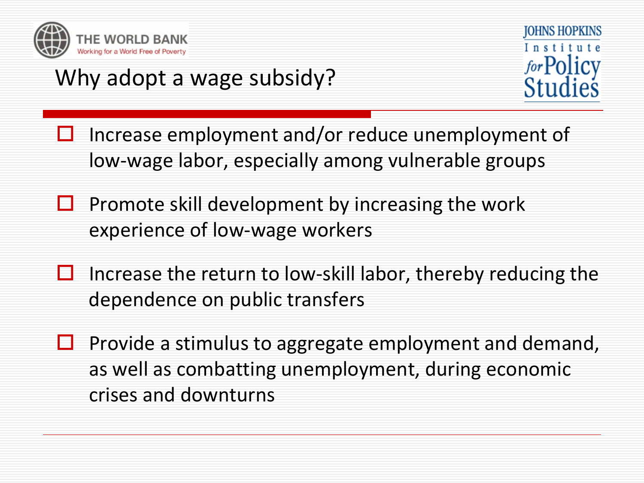

# Why adopt a wage subsidy?



- $\Box$  Increase employment and/or reduce unemployment of low-wage labor, especially among vulnerable groups
- $\Box$  Promote skill development by increasing the work experience of low-wage workers
- $\Box$  Increase the return to low-skill labor, thereby reducing the dependence on public transfers
- $\Box$  Provide a stimulus to aggregate employment and demand, as well as combatting unemployment, during economic crises and downturns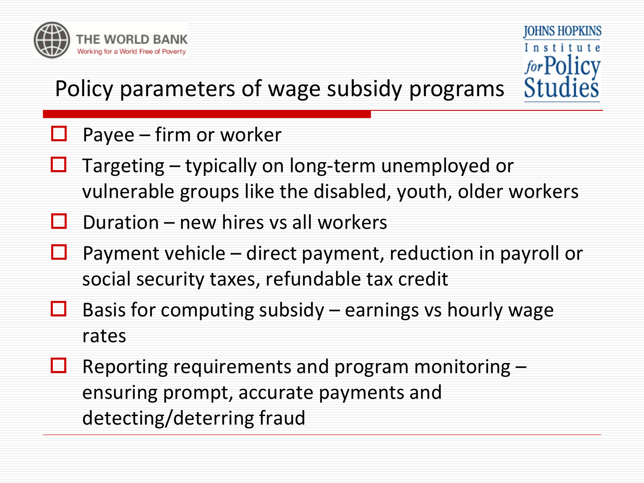

**JOHNS HOPKINS** Institute for Policy Stud

## Policy parameters of wage subsidy programs

#### Payee – firm or worker

- Targeting typically on long-term unemployed or vulnerable groups like the disabled, youth, older workers
- Duration new hires vs all workers
- $\Box$  Payment vehicle direct payment, reduction in payroll or social security taxes, refundable tax credit
- $\Box$  Basis for computing subsidy earnings vs hourly wage rates
- $\Box$  Reporting requirements and program monitoring ensuring prompt, accurate payments and detecting/deterring fraud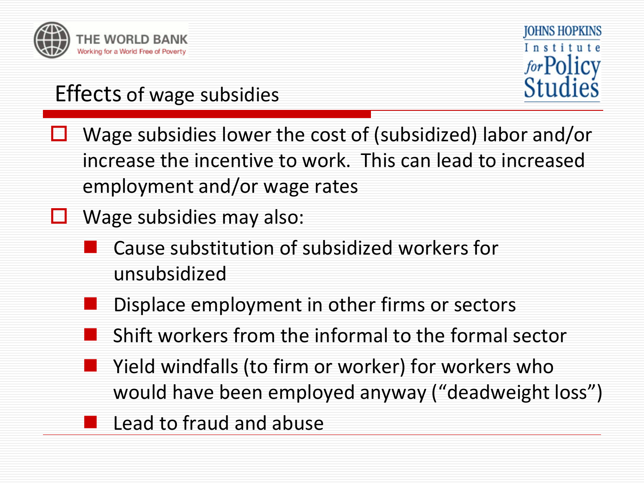



## Effects of wage subsidies

- Wage subsidies lower the cost of (subsidized) labor and/or increase the incentive to work. This can lead to increased employment and/or wage rates
- $\Box$  Wage subsidies may also:
	- Cause substitution of subsidized workers for unsubsidized
	- Displace employment in other firms or sectors
	- Shift workers from the informal to the formal sector
	- Yield windfalls (to firm or worker) for workers who would have been employed anyway ("deadweight loss")
		- Lead to fraud and abuse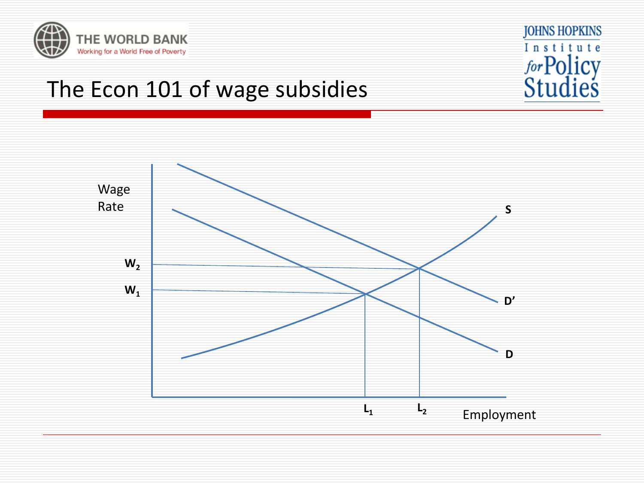



## The Econ 101 of wage subsidies

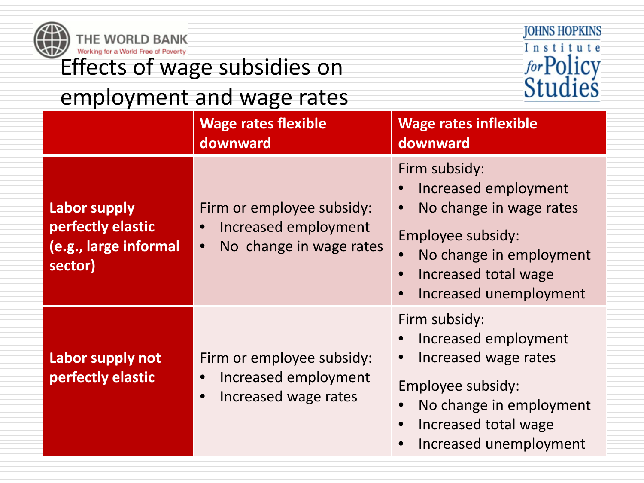| JOHNS HOPKINS<br>THE WORLD BANK<br>Institute<br>Working for a World Free of Poverty<br>for Policy<br>Effects of wage subsidies on<br>Studies |                                                                              |                                                                                           |                                                                                                                                                                    |
|----------------------------------------------------------------------------------------------------------------------------------------------|------------------------------------------------------------------------------|-------------------------------------------------------------------------------------------|--------------------------------------------------------------------------------------------------------------------------------------------------------------------|
|                                                                                                                                              |                                                                              | employment and wage rates<br><b>Wage rates flexible</b><br>downward                       | <b>Wage rates inflexible</b><br>downward                                                                                                                           |
|                                                                                                                                              | <b>Labor supply</b><br>perfectly elastic<br>(e.g., large informal<br>sector) | Firm or employee subsidy:<br>Increased employment<br>No change in wage rates<br>$\bullet$ | Firm subsidy:<br>Increased employment<br>No change in wage rates<br>Employee subsidy:<br>No change in employment<br>Increased total wage<br>Increased unemployment |
|                                                                                                                                              | Labor supply not<br>perfectly elastic                                        | Firm or employee subsidy:<br>Increased employment<br>Increased wage rates                 | Firm subsidy:<br>Increased employment<br>Increased wage rates<br>Employee subsidy:<br>No change in employment<br>Increased total wage<br>Increased unemployment    |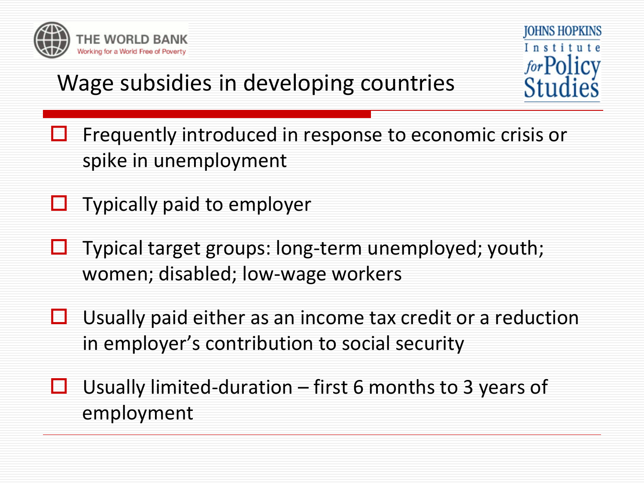

**JOHNS HOPKINS** Institute for Policy

# Wage subsidies in developing countries

- Frequently introduced in response to economic crisis or spike in unemployment
- $\Box$  Typically paid to employer
- Typical target groups: long-term unemployed; youth; women; disabled; low-wage workers
- $\Box$  Usually paid either as an income tax credit or a reduction in employer's contribution to social security
- $\Box$  Usually limited-duration first 6 months to 3 years of employment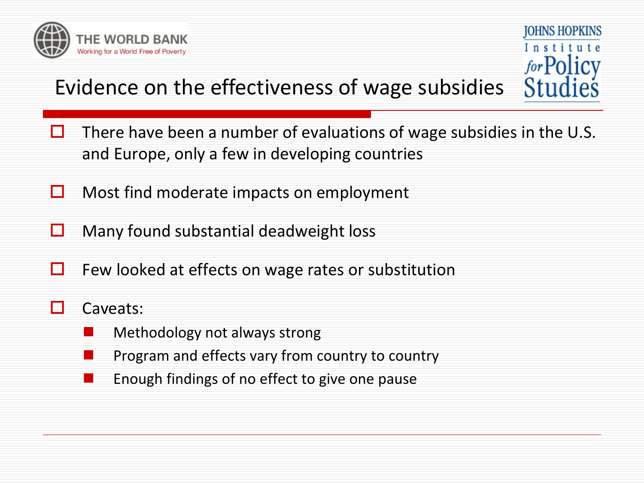

## Evidence on the effectiveness of wage subsidies

 $\Box$  There have been a number of evaluations of wage subsidies in the U.S. and Europe, only a few in developing countries

**JOHNS HOPKINS** 

Institute

for Policy

- $\Box$  Most find moderate impacts on employment
- $\Box$  Many found substantial deadweight loss
- $\Box$  Few looked at effects on wage rates or substitution

#### $\Box$  Caveats:

- Methodology not always strong
- Program and effects vary from country to country
- Enough findings of no effect to give one pause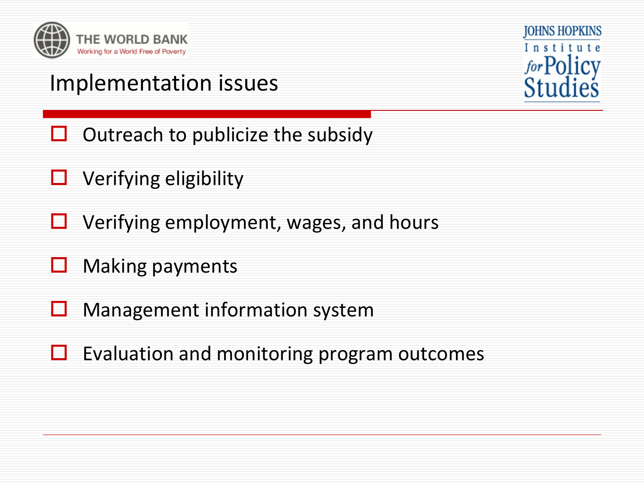



### Implementation issues

- $\Box$  Outreach to publicize the subsidy
- $\Box$  Verifying eligibility
- $\Box$  Verifying employment, wages, and hours
- $\Box$  Making payments
- Management information system
- $\Box$  Evaluation and monitoring program outcomes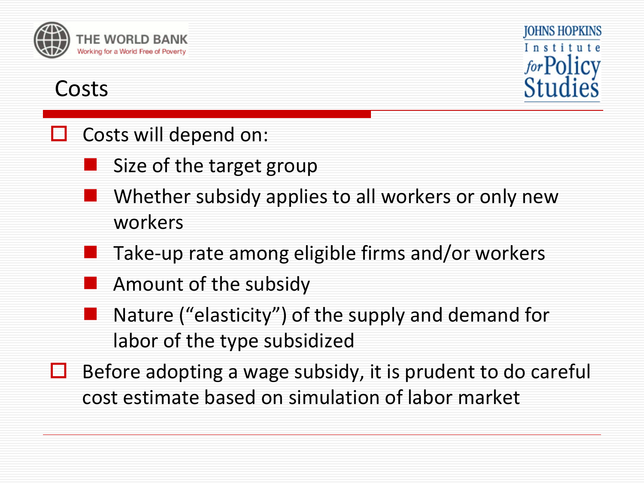

## **JOHNS HOPKINS** Institute for Policy

#### Costs

#### Costs will depend on:

- Size of the target group
- Whether subsidy applies to all workers or only new workers
- Take-up rate among eligible firms and/or workers
- Amount of the subsidy
- Nature ("elasticity") of the supply and demand for labor of the type subsidized
- $\Box$  Before adopting a wage subsidy, it is prudent to do careful cost estimate based on simulation of labor market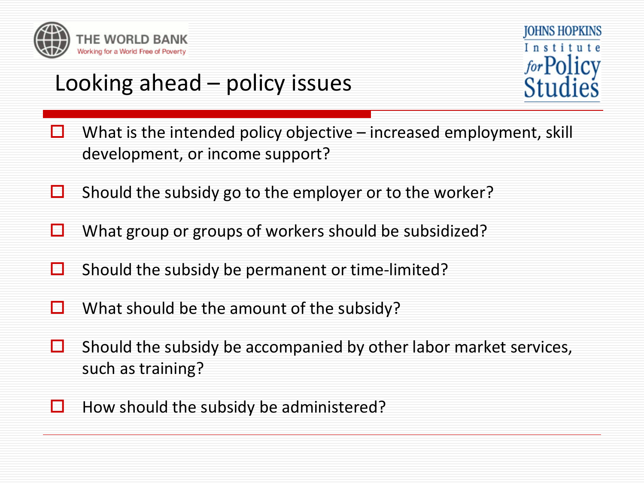

# Looking ahead – policy issues



- $\Box$  What is the intended policy objective increased employment, skill development, or income support?
- $\Box$  Should the subsidy go to the employer or to the worker?
- $\Box$  What group or groups of workers should be subsidized?
- $\Box$  Should the subsidy be permanent or time-limited?
- $\Box$  What should be the amount of the subsidy?
- $\Box$  Should the subsidy be accompanied by other labor market services, such as training?
- $\Box$  How should the subsidy be administered?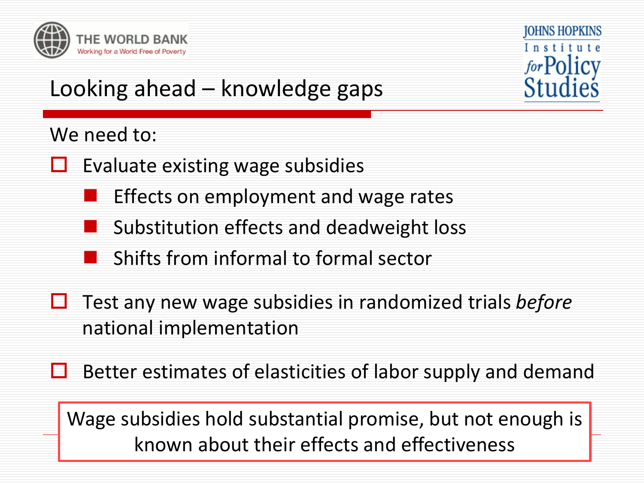



# Looking ahead – knowledge gaps

#### We need to:

- $\Box$  Evaluate existing wage subsidies
	- Effects on employment and wage rates
	- Substitution effects and deadweight loss
	- Shifts from informal to formal sector
- **□** Test any new wage subsidies in randomized trials *before* national implementation
- $\Box$  Better estimates of elasticities of labor supply and demand

Wage subsidies hold substantial promise, but not enough is known about their effects and effectiveness